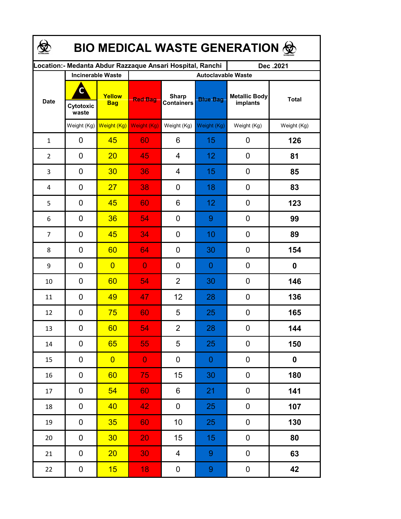| <b>BIO MEDICAL WASTE GENERATION ©</b> |                          |                      |                                                            |                                   |                  |                                  |              |  |  |  |
|---------------------------------------|--------------------------|----------------------|------------------------------------------------------------|-----------------------------------|------------------|----------------------------------|--------------|--|--|--|
|                                       |                          |                      | Location: - Medanta Abdur Razzaque Ansari Hospital, Ranchi |                                   |                  | Dec.2021                         |              |  |  |  |
|                                       | <b>Incinerable Waste</b> |                      | <b>Autoclavable Waste</b>                                  |                                   |                  |                                  |              |  |  |  |
| <b>Date</b>                           | C<br>Cytotoxic<br>waste  | Yellow<br><b>Bag</b> | <b>Red Bag</b>                                             | <b>Sharp</b><br><b>Containers</b> | <b>Blue Bag</b>  | <b>Metallic Body</b><br>implants | <b>Total</b> |  |  |  |
|                                       | Weight $(Kg)$            | Weight (Kg)          | Weight (Kg)                                                | Weight (Kg)                       | Weight (Kg)      | Weight (Kg)                      | Weight (Kg)  |  |  |  |
| $\mathbf{1}$                          | 0                        | 45                   | 60                                                         | 6                                 | 15               | 0                                | 126          |  |  |  |
| $\overline{2}$                        | 0                        | 20                   | 45                                                         | 4                                 | 12               | 0                                | 81           |  |  |  |
| 3                                     | $\mathbf 0$              | 30                   | 36                                                         | 4                                 | 15               | $\mathbf 0$                      | 85           |  |  |  |
| 4                                     | $\mathbf 0$              | 27                   | 38                                                         | 0                                 | 18               | 0                                | 83           |  |  |  |
| 5                                     | 0                        | 45                   | 60                                                         | 6                                 | 12               | 0                                | 123          |  |  |  |
| 6                                     | 0                        | 36                   | 54                                                         | 0                                 | 9                | 0                                | 99           |  |  |  |
| $\overline{7}$                        | 0                        | 45                   | 34                                                         | 0                                 | 10               | 0                                | 89           |  |  |  |
| 8                                     | $\mathbf 0$              | 60                   | 64                                                         | 0                                 | 30               | $\mathbf 0$                      | 154          |  |  |  |
| 9                                     | 0                        | $\overline{0}$       | $\overline{0}$                                             | 0                                 | 0                | 0                                | 0            |  |  |  |
| 10                                    | 0                        | 60                   | $\overline{5}4$                                            | $\overline{2}$                    | 30               | 0                                | 146          |  |  |  |
| 11                                    | 0                        | 49                   | 47                                                         | 12                                | 28               | 0                                | 136          |  |  |  |
| 12                                    | 0                        | 75                   | 60                                                         | 5                                 | 25               | 0                                | 165          |  |  |  |
| 13                                    | 0                        | <b>60</b>            | 54                                                         | $\overline{2}$                    | 28               | 0                                | 144          |  |  |  |
| 14                                    | 0                        | 65                   | 55                                                         | 5                                 | 25               | 0                                | 150          |  |  |  |
| 15                                    | 0                        | $\overline{0}$       | $\overline{0}$                                             | 0                                 | $\boldsymbol{0}$ | 0                                | 0            |  |  |  |
| 16                                    | 0                        | 60                   | 75                                                         | 15                                | 30               | 0                                | 180          |  |  |  |
| 17                                    | 0                        | 54                   | 60                                                         | 6                                 | 21               | 0                                | 141          |  |  |  |
| 18                                    | 0                        | 40                   | 42                                                         | 0                                 | 25               | 0                                | 107          |  |  |  |
| 19                                    | 0                        | 35                   | 60                                                         | 10                                | 25               | 0                                | 130          |  |  |  |
| 20                                    | $\mathbf 0$              | 30 <sub>2</sub>      | 20                                                         | 15 <sub>1</sub>                   | 15 <sub>1</sub>  | 0                                | 80           |  |  |  |
| 21                                    | $\pmb{0}$                | 20 <sub>2</sub>      | 30                                                         | $\overline{4}$                    | 9                | $\pmb{0}$                        | 63           |  |  |  |
| 22                                    | $\boldsymbol{0}$         | 15                   | 18                                                         | $\boldsymbol{0}$                  | 9                | $\pmb{0}$                        | 42           |  |  |  |